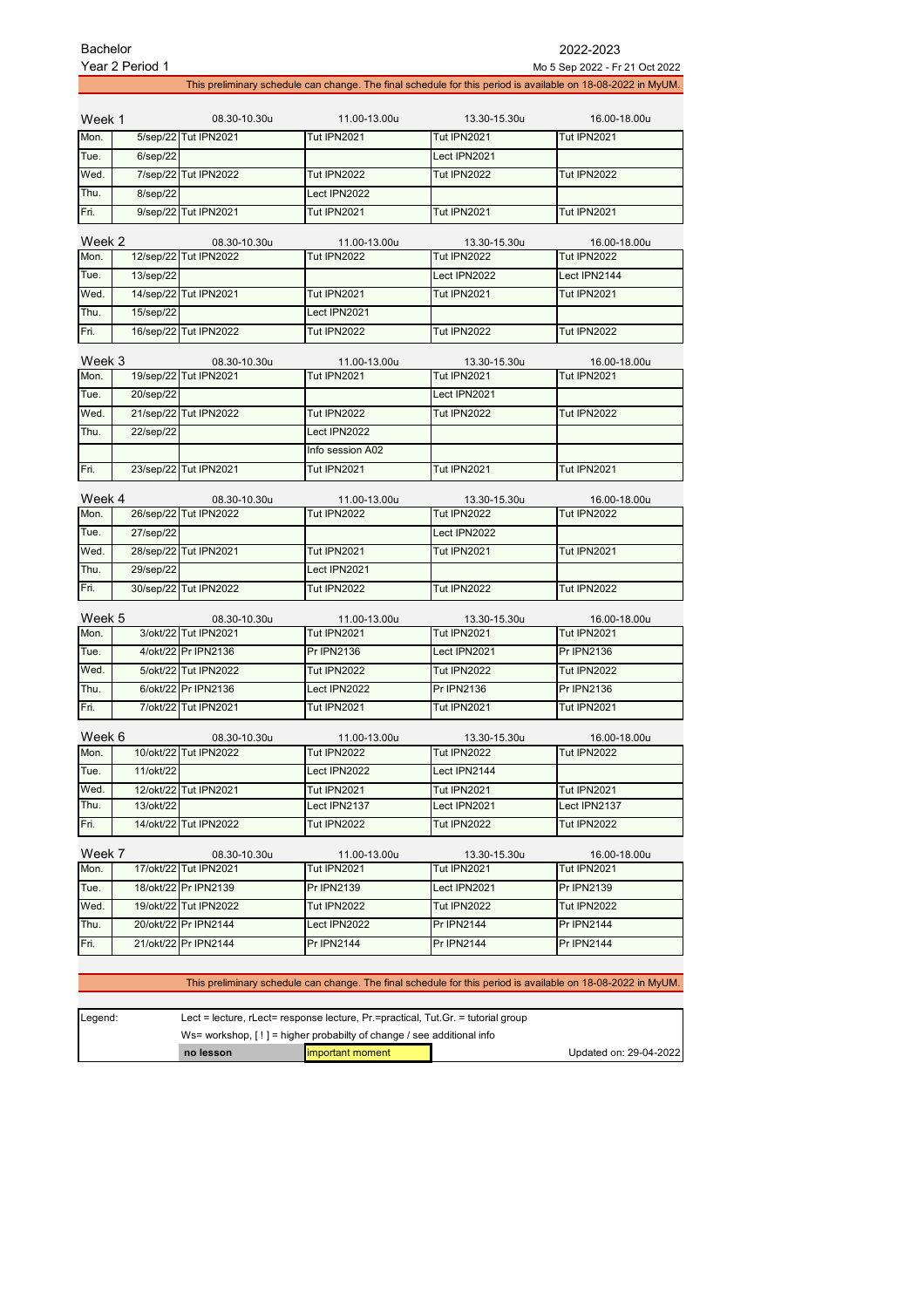| <b>Bachelor</b> | Year 2 Period 1 |                                       |                                    |                                                                                                              | 2022-2023<br>Mo 5 Sep 2022 - Fr 21 Oct 2022 |
|-----------------|-----------------|---------------------------------------|------------------------------------|--------------------------------------------------------------------------------------------------------------|---------------------------------------------|
|                 |                 |                                       |                                    | This preliminary schedule can change. The final schedule for this period is available on 18-08-2022 in MyUM. |                                             |
| Week 1          |                 | 08.30-10.30u                          | 11.00-13.00u                       | 13.30-15.30u                                                                                                 | 16.00-18.00u                                |
| Mon.            |                 | 5/sep/22 Tut IPN2021                  | <b>Tut IPN2021</b>                 | <b>Tut IPN2021</b>                                                                                           | <b>Tut IPN2021</b>                          |
| Tue.            | $6$ /sep $/22$  |                                       |                                    | Lect IPN2021                                                                                                 |                                             |
| Wed.            |                 | 7/sep/22 Tut IPN2022                  | <b>Tut IPN2022</b>                 | <b>Tut IPN2022</b>                                                                                           | <b>Tut IPN2022</b>                          |
| Thu.            | 8/sep/22        |                                       | Lect IPN2022                       |                                                                                                              |                                             |
| Fri.            |                 | 9/sep/22 Tut IPN2021                  | <b>Tut IPN2021</b>                 | <b>Tut IPN2021</b>                                                                                           | <b>Tut IPN2021</b>                          |
| Week 2          |                 | 08.30-10.30u                          | 11.00-13.00u                       | 13.30-15.30u                                                                                                 | 16.00-18.00u                                |
| Mon.            |                 | 12/sep/22 Tut IPN2022                 | Tut IPN2022                        | <b>Tut IPN2022</b>                                                                                           | <b>Tut IPN2022</b>                          |
| Tue.            | 13/sep/22       |                                       |                                    | Lect IPN2022                                                                                                 | Lect IPN2144                                |
| Wed.            |                 | 14/sep/22 Tut IPN2021                 | <b>Tut IPN2021</b>                 | <b>Tut IPN2021</b>                                                                                           | <b>Tut IPN2021</b>                          |
| Thu.            | 15/sep/22       |                                       | Lect IPN2021                       |                                                                                                              |                                             |
| Fri.            |                 | 16/sep/22 Tut IPN2022                 | <b>Tut IPN2022</b>                 | <b>Tut IPN2022</b>                                                                                           | <b>Tut IPN2022</b>                          |
| Week 3          |                 | 08.30-10.30u                          | 11.00-13.00u                       | 13.30-15.30u                                                                                                 | 16.00-18.00u                                |
| Mon.            |                 | 19/sep/22 Tut IPN2021                 | Tut IPN2021                        | <b>Tut IPN2021</b>                                                                                           | <b>Tut IPN2021</b>                          |
| Tue.            | 20/sep/22       |                                       |                                    | Lect IPN2021                                                                                                 |                                             |
| Wed.            |                 | 21/sep/22 Tut IPN2022                 | <b>Tut IPN2022</b>                 | <b>Tut IPN2022</b>                                                                                           | <b>Tut IPN2022</b>                          |
| Thu.            | 22/sep/22       |                                       | Lect IPN2022                       |                                                                                                              |                                             |
|                 |                 |                                       | Info session A02                   |                                                                                                              |                                             |
| Fri.            |                 | 23/sep/22 Tut IPN2021                 | <b>Tut IPN2021</b>                 | <b>Tut IPN2021</b>                                                                                           | <b>Tut IPN2021</b>                          |
|                 |                 |                                       |                                    |                                                                                                              |                                             |
| Week 4<br>Mon.  |                 | 08.30-10.30u<br>26/sep/22 Tut IPN2022 | 11.00-13.00u<br><b>Tut IPN2022</b> | 13.30-15.30u<br><b>Tut IPN2022</b>                                                                           | 16.00-18.00u<br><b>Tut IPN2022</b>          |
| Tue.            | 27/sep/22       |                                       |                                    | Lect IPN2022                                                                                                 |                                             |
| Wed.            |                 | 28/sep/22 Tut IPN2021                 | <b>Tut IPN2021</b>                 | <b>Tut IPN2021</b>                                                                                           | <b>Tut IPN2021</b>                          |
| Thu.            | 29/sep/22       |                                       | Lect IPN2021                       |                                                                                                              |                                             |
| Fri.            |                 | 30/sep/22 Tut IPN2022                 | <b>Tut IPN2022</b>                 | <b>Tut IPN2022</b>                                                                                           | <b>Tut IPN2022</b>                          |
|                 |                 |                                       |                                    |                                                                                                              |                                             |
| Week 5          |                 | 08.30-10.30u                          | 11.00-13.00u                       | 13.30-15.30u                                                                                                 | 16.00-18.00u                                |
| Mon.            |                 | 3/okt/22 Tut IPN2021                  | Tut IPN2021                        | Tut IPN2021                                                                                                  | <b>Tut IPN2021</b>                          |
| Tue.            |                 | 4/okt/22 Pr IPN2136                   | <b>Pr IPN2136</b>                  | Lect IPN2021                                                                                                 | Pr IPN2136                                  |
| Wed.            |                 | 5/okt/22 Tut IPN2022                  | <b>Tut IPN2022</b>                 | <b>Tut IPN2022</b>                                                                                           | <b>Tut IPN2022</b>                          |
| Thu.            |                 | 6/okt/22 Pr IPN2136                   | Lect IPN2022                       | Pr IPN2136                                                                                                   | Pr IPN2136                                  |
| Fri.            |                 | 7/okt/22 Tut IPN2021                  | <b>Tut IPN2021</b>                 | <b>Tut IPN2021</b>                                                                                           | <b>Tut IPN2021</b>                          |
| Week 6          |                 | 08.30-10.30u                          | 11.00-13.00u                       | 13.30-15.30u                                                                                                 | 16.00-18.00u                                |
| Mon.            |                 | 10/okt/22 Tut IPN2022                 | <b>Tut IPN2022</b>                 | <b>Tut IPN2022</b>                                                                                           | Tut IPN2022                                 |
| Tue.            | 11/okt/22       |                                       | Lect IPN2022                       | Lect IPN2144                                                                                                 |                                             |
| Wed.            |                 | 12/okt/22 Tut IPN2021                 | Tut IPN2021                        | Tut IPN2021                                                                                                  | <b>Tut IPN2021</b>                          |
| Thu.            | 13/okt/22       |                                       | Lect IPN2137                       | Lect IPN2021                                                                                                 | Lect IPN2137                                |
| Fri.            |                 | 14/okt/22 Tut IPN2022                 | <b>Tut IPN2022</b>                 | <b>Tut IPN2022</b>                                                                                           | <b>Tut IPN2022</b>                          |
| Week 7          |                 | 08.30-10.30u                          | 11.00-13.00u                       | 13.30-15.30u                                                                                                 | 16.00-18.00u                                |
| Mon.            |                 | 17/okt/22 Tut IPN2021                 | Tut IPN2021                        | <b>Tut IPN2021</b>                                                                                           | Tut IPN2021                                 |
| Tue.            |                 | 18/okt/22 Pr IPN2139                  | Pr IPN2139                         | Lect IPN2021                                                                                                 | Pr IPN2139                                  |
| Wed.            |                 | 19/okt/22 Tut IPN2022                 | <b>Tut IPN2022</b>                 | <b>Tut IPN2022</b>                                                                                           | <b>Tut IPN2022</b>                          |
| Thu.            |                 | 20/okt/22 Pr IPN2144                  | Lect IPN2022                       | Pr IPN2144                                                                                                   | Pr IPN2144                                  |
| Fri.            |                 | 21/okt/22 Pr IPN2144                  | <b>Pr IPN2144</b>                  | <b>Pr IPN2144</b>                                                                                            | Pr IPN2144                                  |
|                 |                 |                                       |                                    |                                                                                                              |                                             |

## This preliminary schedule can change. The final schedule for this period is available on 18-08-2022 in MyUM.

| Legend: | Lect = lecture, $r$ Lect = response lecture, $Pr$ = practical, Tut. Gr. = tutorial group |                   |  |                        |
|---------|------------------------------------------------------------------------------------------|-------------------|--|------------------------|
|         | Ws= workshop, $[!]$ = higher probabilty of change / see additional info                  |                   |  |                        |
|         | no lesson                                                                                | limportant moment |  | Updated on: 29-04-2022 |

**Service State**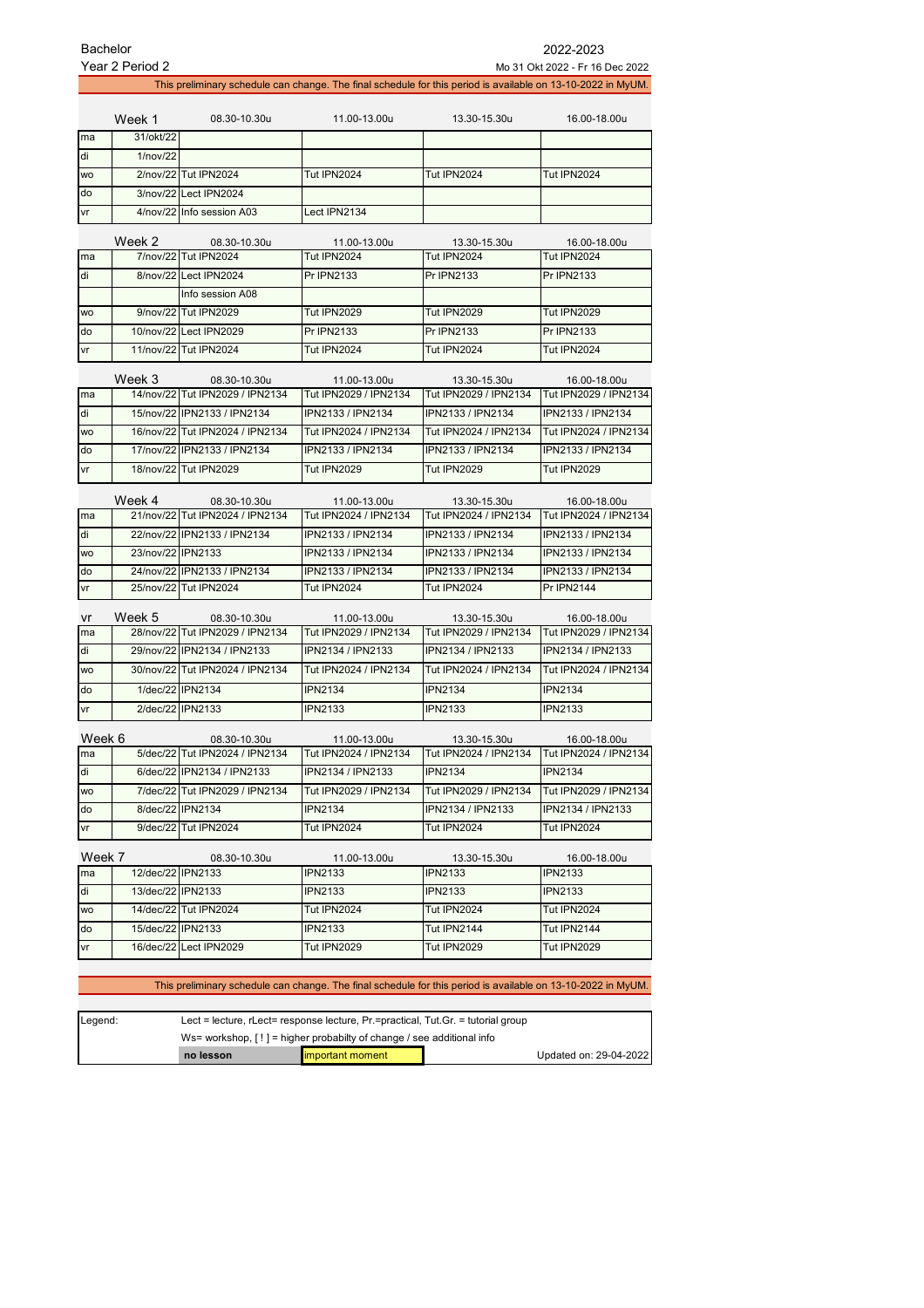|           | <b>Bachelor</b><br>2022-2023<br>Year 2 Period 2<br>Mo 31 Okt 2022 - Fr 16 Dec 2022                           |                                                 |                                                                                                              |                                       |                                       |  |
|-----------|--------------------------------------------------------------------------------------------------------------|-------------------------------------------------|--------------------------------------------------------------------------------------------------------------|---------------------------------------|---------------------------------------|--|
|           | This preliminary schedule can change. The final schedule for this period is available on 13-10-2022 in MyUM. |                                                 |                                                                                                              |                                       |                                       |  |
|           |                                                                                                              |                                                 |                                                                                                              |                                       |                                       |  |
|           | Week 1                                                                                                       | 08.30-10.30u                                    | 11.00-13.00u                                                                                                 | 13.30-15.30u                          | 16.00-18.00u                          |  |
| ma        | 31/okt/22                                                                                                    |                                                 |                                                                                                              |                                       |                                       |  |
| di        | 1/nov/22                                                                                                     |                                                 |                                                                                                              |                                       |                                       |  |
| <b>WO</b> |                                                                                                              | 2/nov/22 Tut IPN2024                            | <b>Tut IPN2024</b>                                                                                           | <b>Tut IPN2024</b>                    | Tut IPN2024                           |  |
| do        |                                                                                                              | 3/nov/22 Lect IPN2024                           |                                                                                                              |                                       |                                       |  |
| vr        |                                                                                                              | 4/nov/22 Info session A03                       | Lect IPN2134                                                                                                 |                                       |                                       |  |
|           | Week 2                                                                                                       | 08.30-10.30u                                    | 11.00-13.00u                                                                                                 | 13.30-15.30u                          | 16.00-18.00u                          |  |
| ma        |                                                                                                              | 7/nov/22 Tut IPN2024                            | <b>Tut IPN2024</b>                                                                                           | <b>Tut IPN2024</b>                    | Tut IPN2024                           |  |
| di        |                                                                                                              | 8/nov/22 Lect IPN2024                           | Pr IPN2133                                                                                                   | <b>Pr IPN2133</b>                     | Pr IPN2133                            |  |
|           |                                                                                                              | Info session A08                                |                                                                                                              |                                       |                                       |  |
| <b>WO</b> |                                                                                                              | 9/nov/22 Tut IPN2029                            | <b>Tut IPN2029</b>                                                                                           | <b>Tut IPN2029</b>                    | <b>Tut IPN2029</b>                    |  |
| do        |                                                                                                              | 10/nov/22 Lect IPN2029                          | Pr IPN2133                                                                                                   | Pr IPN2133                            | Pr IPN2133                            |  |
| vr        |                                                                                                              | 11/nov/22 Tut IPN2024                           | Tut IPN2024                                                                                                  | Tut IPN2024                           | Tut IPN2024                           |  |
|           |                                                                                                              |                                                 |                                                                                                              |                                       |                                       |  |
|           | Week 3                                                                                                       | 08.30-10.30u                                    | 11.00-13.00u                                                                                                 | 13.30-15.30u                          | 16.00-18.00u                          |  |
| ma        |                                                                                                              | 14/nov/22 Tut IPN2029 / IPN2134                 | Tut IPN2029 / IPN2134                                                                                        | Tut IPN2029 / IPN2134                 | Tut IPN2029 / IPN2134                 |  |
| di        |                                                                                                              | 15/nov/22 IPN2133 / IPN2134                     | IPN2133 / IPN2134                                                                                            | IPN2133 / IPN2134                     | IPN2133 / IPN2134                     |  |
| wo        |                                                                                                              | 16/nov/22 Tut IPN2024 / IPN2134                 | Tut IPN2024 / IPN2134                                                                                        | Tut IPN2024 / IPN2134                 | Tut IPN2024 / IPN2134                 |  |
| do        |                                                                                                              | 17/nov/22 IPN2133 / IPN2134                     | IPN2133 / IPN2134                                                                                            | IPN2133 / IPN2134                     | IPN2133 / IPN2134                     |  |
| vr        |                                                                                                              | 18/nov/22 Tut IPN2029                           | <b>Tut IPN2029</b>                                                                                           | <b>Tut IPN2029</b>                    | <b>Tut IPN2029</b>                    |  |
|           | Week 4                                                                                                       | 08.30-10.30u                                    | 11.00-13.00u                                                                                                 | 13.30-15.30u                          | 16.00-18.00u                          |  |
| ma        |                                                                                                              | 21/nov/22 Tut IPN2024 / IPN2134                 | Tut IPN2024 / IPN2134                                                                                        | Tut IPN2024 / IPN2134                 | Tut IPN2024 / IPN2134                 |  |
| di        |                                                                                                              | 22/nov/22 IPN2133 / IPN2134                     | IPN2133 / IPN2134                                                                                            | IPN2133 / IPN2134                     | IPN2133 / IPN2134                     |  |
| wo        | 23/nov/22 IPN2133                                                                                            |                                                 | IPN2133 / IPN2134                                                                                            | IPN2133 / IPN2134                     | IPN2133 / IPN2134                     |  |
| do        |                                                                                                              | 24/nov/22 IPN2133 / IPN2134                     | IPN2133 / IPN2134                                                                                            | IPN2133 / IPN2134                     | IPN2133 / IPN2134                     |  |
| vr        |                                                                                                              | 25/nov/22 Tut IPN2024                           | Tut IPN2024                                                                                                  | <b>Tut IPN2024</b>                    | <b>Pr IPN2144</b>                     |  |
|           |                                                                                                              |                                                 |                                                                                                              |                                       |                                       |  |
| vr<br>ma  | Week 5                                                                                                       | 08.30-10.30u<br>28/nov/22 Tut IPN2029 / IPN2134 | 11.00-13.00u<br>Tut IPN2029 / IPN2134                                                                        | 13.30-15.30u<br>Tut IPN2029 / IPN2134 | 16.00-18.00u<br>Tut IPN2029 / IPN2134 |  |
| di        |                                                                                                              | 29/nov/22 IPN2134 / IPN2133                     | IPN2134 / IPN2133                                                                                            | IPN2134 / IPN2133                     | IPN2134 / IPN2133                     |  |
| <b>WO</b> |                                                                                                              | 30/nov/22 Tut IPN2024 / IPN2134                 | Tut IPN2024 / IPN2134                                                                                        | Tut IPN2024 / IPN2134                 | Tut IPN2024 / IPN2134                 |  |
|           |                                                                                                              |                                                 |                                                                                                              |                                       |                                       |  |
| do        |                                                                                                              | 1/dec/22 IPN2134                                | <b>IPN2134</b>                                                                                               | <b>IPN2134</b>                        | <b>IPN2134</b>                        |  |
| vr        | 2/dec/22 IPN2133                                                                                             |                                                 | <b>IPN2133</b>                                                                                               | <b>IPN2133</b>                        | <b>IPN2133</b>                        |  |
| Week 6    |                                                                                                              | 08.30-10.30u                                    | 11.00-13.00u                                                                                                 | 13.30-15.30u                          | 16.00-18.00u                          |  |
| ma        |                                                                                                              | 5/dec/22 Tut IPN2024 / IPN2134                  | Tut IPN2024 / IPN2134                                                                                        | Tut IPN2024 / IPN2134                 | Tut IPN2024 / IPN2134                 |  |
| di        |                                                                                                              | 6/dec/22 IPN2134 / IPN2133                      | IPN2134 / IPN2133                                                                                            | <b>IPN2134</b>                        | <b>IPN2134</b>                        |  |
| WO        |                                                                                                              | 7/dec/22 Tut IPN2029 / IPN2134                  | Tut IPN2029 / IPN2134                                                                                        | Tut IPN2029 / IPN2134                 | Tut IPN2029 / IPN2134                 |  |
| do        |                                                                                                              | 8/dec/22 IPN2134                                | <b>IPN2134</b>                                                                                               | IPN2134 / IPN2133                     | IPN2134 / IPN2133                     |  |
| vr        |                                                                                                              | 9/dec/22 Tut IPN2024                            | <b>Tut IPN2024</b>                                                                                           | <b>Tut IPN2024</b>                    | <b>Tut IPN2024</b>                    |  |
| Week 7    |                                                                                                              |                                                 |                                                                                                              |                                       |                                       |  |
| ma        | 12/dec/22 IPN2133                                                                                            | 08.30-10.30u                                    | 11.00-13.00u<br><b>IPN2133</b>                                                                               | 13.30-15.30u<br><b>IPN2133</b>        | 16.00-18.00u<br><b>IPN2133</b>        |  |
| di        | 13/dec/22 IPN2133                                                                                            |                                                 | <b>IPN2133</b>                                                                                               | <b>IPN2133</b>                        | <b>IPN2133</b>                        |  |
| WO        |                                                                                                              | 14/dec/22 Tut IPN2024                           | <b>Tut IPN2024</b>                                                                                           | <b>Tut IPN2024</b>                    | Tut IPN2024                           |  |
| do        | 15/dec/22 IPN2133                                                                                            |                                                 | <b>IPN2133</b>                                                                                               | Tut IPN2144                           | Tut IPN2144                           |  |
| vr        |                                                                                                              | 16/dec/22 Lect IPN2029                          | <b>Tut IPN2029</b>                                                                                           | <b>Tut IPN2029</b>                    | Tut IPN2029                           |  |
|           |                                                                                                              |                                                 |                                                                                                              |                                       |                                       |  |
|           |                                                                                                              |                                                 | This preliminary schedule can change. The final schedule for this period is available on 13-10-2022 in MyUM. |                                       |                                       |  |

| Leaend: | Lect = lecture, rLect= response lecture, $Pr =$ practical, Tut. Gr. = tutorial group |                         |  |                        |
|---------|--------------------------------------------------------------------------------------|-------------------------|--|------------------------|
|         | Ws= workshop, $[!]$ = higher probabilty of change / see additional info              |                         |  |                        |
|         | no lesson                                                                            | <b>Important moment</b> |  | Updated on: 29-04-2022 |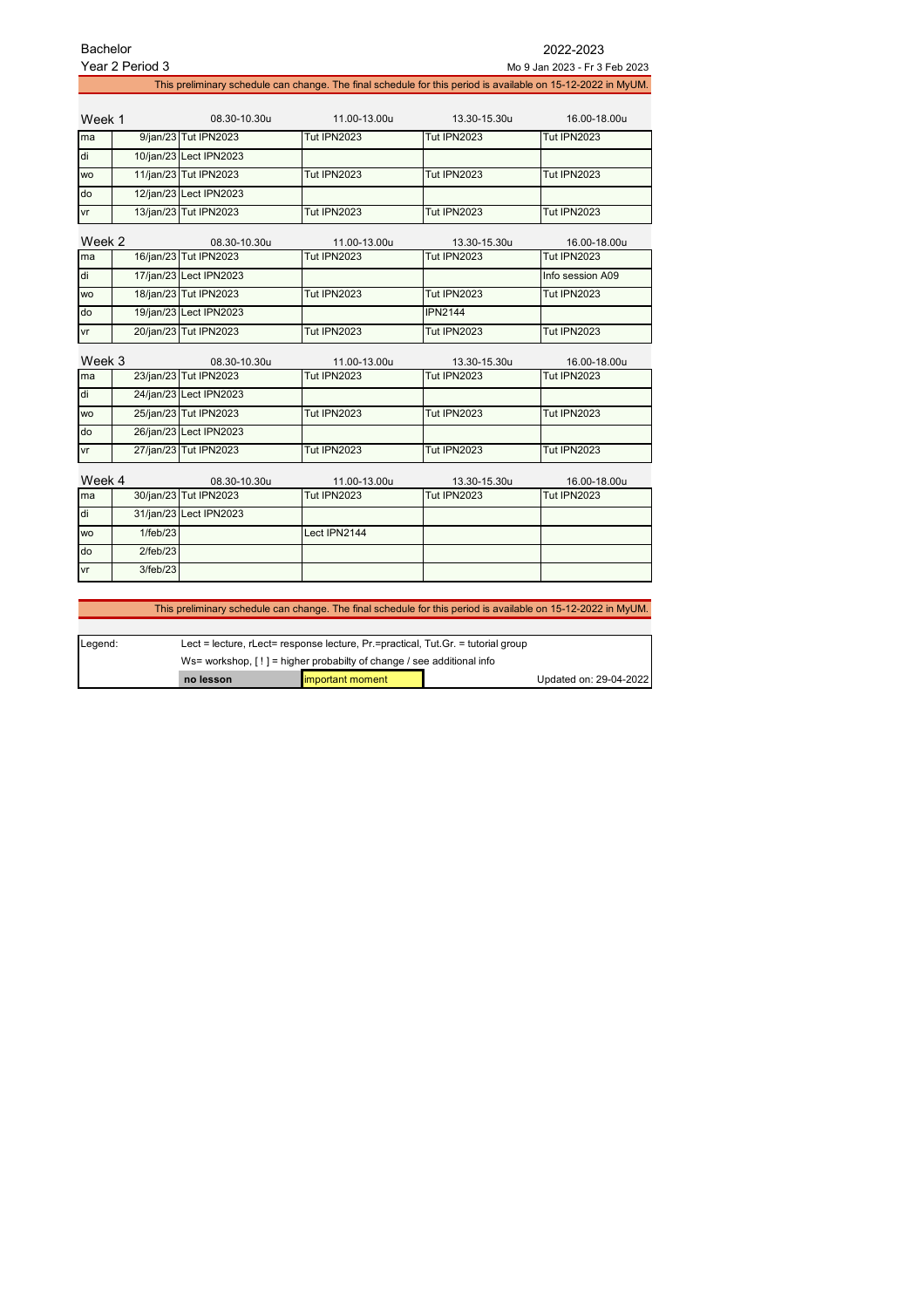| Bachelor  |                 |                        |                                                                                                              |                    | 2022-2023                     |
|-----------|-----------------|------------------------|--------------------------------------------------------------------------------------------------------------|--------------------|-------------------------------|
|           | Year 2 Period 3 |                        |                                                                                                              |                    | Mo 9 Jan 2023 - Fr 3 Feb 2023 |
|           |                 |                        | This preliminary schedule can change. The final schedule for this period is available on 15-12-2022 in MyUM. |                    |                               |
|           |                 |                        |                                                                                                              |                    |                               |
| Week 1    |                 | 08.30-10.30u           | 11.00-13.00u                                                                                                 | 13.30-15.30u       | 16.00-18.00u                  |
| ma        |                 | 9/jan/23 Tut IPN2023   | <b>Tut IPN2023</b>                                                                                           | <b>Tut IPN2023</b> | <b>Tut IPN2023</b>            |
| di        |                 | 10/jan/23 Lect IPN2023 |                                                                                                              |                    |                               |
| <b>WO</b> |                 | 11/jan/23 Tut IPN2023  | <b>Tut IPN2023</b>                                                                                           | <b>Tut IPN2023</b> | <b>Tut IPN2023</b>            |
| do        |                 | 12/jan/23 Lect IPN2023 |                                                                                                              |                    |                               |
| vr        |                 | 13/jan/23 Tut IPN2023  | <b>Tut IPN2023</b>                                                                                           | <b>Tut IPN2023</b> | <b>Tut IPN2023</b>            |
| Week 2    |                 | 08.30-10.30u           | 11.00-13.00u                                                                                                 | 13.30-15.30u       | 16.00-18.00u                  |
| ma        |                 | 16/jan/23 Tut IPN2023  | Tut IPN2023                                                                                                  | <b>Tut IPN2023</b> | Tut IPN2023                   |
| di        |                 | 17/jan/23 Lect IPN2023 |                                                                                                              |                    | Info session A09              |
| <b>WO</b> |                 | 18/jan/23 Tut IPN2023  | <b>Tut IPN2023</b>                                                                                           | <b>Tut IPN2023</b> | <b>Tut IPN2023</b>            |
| do        |                 | 19/jan/23 Lect IPN2023 |                                                                                                              | <b>IPN2144</b>     |                               |
| vr        |                 | 20/jan/23 Tut IPN2023  | <b>Tut IPN2023</b>                                                                                           | <b>Tut IPN2023</b> | <b>Tut IPN2023</b>            |
|           |                 |                        |                                                                                                              |                    |                               |
| Week 3    |                 | 08.30-10.30u           | 11.00-13.00u                                                                                                 | 13.30-15.30u       | 16.00-18.00u                  |
| ma        |                 | 23/jan/23 Tut IPN2023  | <b>Tut IPN2023</b>                                                                                           | Tut IPN2023        | <b>Tut IPN2023</b>            |
| di        |                 | 24/jan/23 Lect IPN2023 |                                                                                                              |                    |                               |
| <b>WO</b> |                 | 25/jan/23 Tut IPN2023  | <b>Tut IPN2023</b>                                                                                           | <b>Tut IPN2023</b> | <b>Tut IPN2023</b>            |
| do        |                 | 26/jan/23 Lect IPN2023 |                                                                                                              |                    |                               |
| vr        |                 | 27/jan/23 Tut IPN2023  | <b>Tut IPN2023</b>                                                                                           | <b>Tut IPN2023</b> | <b>Tut IPN2023</b>            |
| Week 4    |                 | 08.30-10.30u           | 11.00-13.00u                                                                                                 | 13.30-15.30u       | 16.00-18.00u                  |
| ma        |                 | 30/jan/23 Tut IPN2023  | <b>Tut IPN2023</b>                                                                                           | <b>Tut IPN2023</b> | <b>Tut IPN2023</b>            |
| di        |                 | 31/jan/23 Lect IPN2023 |                                                                                                              |                    |                               |
| <b>WO</b> | 1/feb/23        |                        | Lect IPN2144                                                                                                 |                    |                               |
| do        | 2/feb/23        |                        |                                                                                                              |                    |                               |
| vr        | 3/feb/23        |                        |                                                                                                              |                    |                               |
|           |                 |                        |                                                                                                              |                    |                               |

This preliminary schedule can change. The final schedule for this period is available on 15-12-2022 in MyUM.

| Legend: | Lect = lecture, $r$ Lect= response lecture, $Pr$ =practical, Tut.Gr. = tutorial group |                   |  |                        |
|---------|---------------------------------------------------------------------------------------|-------------------|--|------------------------|
|         | Ws= workshop, $[ \cdot ]$ = higher probabilty of change / see additional info         |                   |  |                        |
|         | no lesson                                                                             | limportant moment |  | Updated on: 29-04-2022 |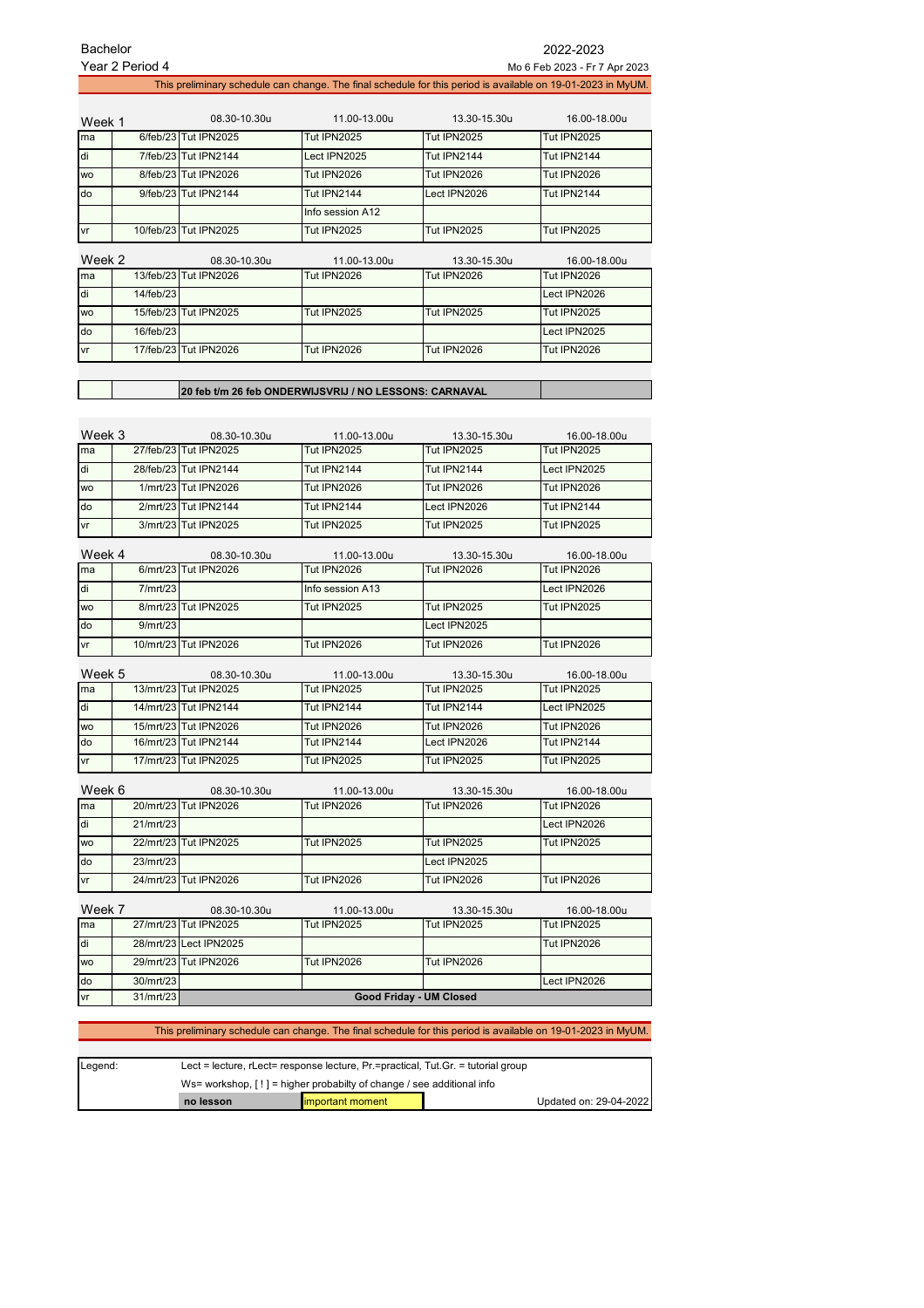|                                                                                                 | Year 2 Period 4        |                                       |                                                                                                              |                                    | Mo 6 Feb 2023 - Fr 7 Apr 2023      |
|-------------------------------------------------------------------------------------------------|------------------------|---------------------------------------|--------------------------------------------------------------------------------------------------------------|------------------------------------|------------------------------------|
|                                                                                                 |                        |                                       | This preliminary schedule can change. The final schedule for this period is available on 19-01-2023 in MyUM. |                                    |                                    |
| Week 1                                                                                          |                        | 08.30-10.30u                          | 11.00-13.00u                                                                                                 | 13.30-15.30u                       | 16.00-18.00u                       |
| ma                                                                                              |                        | 6/feb/23 Tut IPN2025                  | <b>Tut IPN2025</b>                                                                                           | <b>Tut IPN2025</b>                 | <b>Tut IPN2025</b>                 |
| di                                                                                              |                        | 7/feb/23 Tut IPN2144                  | Lect IPN2025                                                                                                 | Tut IPN2144                        | Tut IPN2144                        |
| <b>WO</b>                                                                                       |                        | 8/feb/23 Tut IPN2026                  | <b>Tut IPN2026</b>                                                                                           | <b>Tut IPN2026</b>                 | <b>Tut IPN2026</b>                 |
| do                                                                                              |                        | 9/feb/23 Tut IPN2144                  | Tut IPN2144                                                                                                  | Lect IPN2026                       | Tut IPN2144                        |
|                                                                                                 |                        |                                       | Info session A12                                                                                             |                                    |                                    |
| vr                                                                                              |                        | 10/feb/23 Tut IPN2025                 | <b>Tut IPN2025</b>                                                                                           | <b>Tut IPN2025</b>                 | <b>Tut IPN2025</b>                 |
|                                                                                                 |                        |                                       |                                                                                                              |                                    |                                    |
| Week 2<br>ma                                                                                    |                        | 08.30-10.30u<br>13/feb/23 Tut IPN2026 | 11.00-13.00u<br>Tut IPN2026                                                                                  | 13.30-15.30u<br><b>Tut IPN2026</b> | 16.00-18.00u<br><b>Tut IPN2026</b> |
| di                                                                                              | 14/feb/23              |                                       |                                                                                                              |                                    | Lect IPN2026                       |
|                                                                                                 |                        |                                       |                                                                                                              |                                    |                                    |
| <b>WO</b>                                                                                       |                        | 15/feb/23 Tut IPN2025                 | Tut IPN2025                                                                                                  | <b>Tut IPN2025</b>                 | <b>Tut IPN2025</b>                 |
| do                                                                                              | 16/feb/23              |                                       |                                                                                                              |                                    | Lect IPN2025                       |
| vr                                                                                              |                        | 17/feb/23 Tut IPN2026                 | <b>Tut IPN2026</b>                                                                                           | Tut IPN2026                        | <b>Tut IPN2026</b>                 |
|                                                                                                 |                        |                                       |                                                                                                              |                                    |                                    |
|                                                                                                 |                        |                                       | 20 feb t/m 26 feb ONDERWIJSVRIJ / NO LESSONS: CARNAVAL                                                       |                                    |                                    |
|                                                                                                 |                        |                                       |                                                                                                              |                                    |                                    |
| Week 3                                                                                          |                        | 08.30-10.30u                          | 11.00-13.00u                                                                                                 | 13.30-15.30u                       | 16.00-18.00u                       |
| ma                                                                                              |                        | 27/feb/23 Tut IPN2025                 | <b>Tut IPN2025</b>                                                                                           | <b>Tut IPN2025</b>                 | <b>Tut IPN2025</b>                 |
| di                                                                                              |                        | 28/feb/23 Tut IPN2144                 | Tut IPN2144                                                                                                  | Tut IPN2144                        | Lect IPN2025                       |
| <b>WO</b>                                                                                       |                        | 1/mrt/23 Tut IPN2026                  | <b>Tut IPN2026</b>                                                                                           | <b>Tut IPN2026</b>                 | <b>Tut IPN2026</b>                 |
| do                                                                                              |                        | 2/mrt/23 Tut IPN2144                  | Tut IPN2144                                                                                                  | Lect IPN2026                       | Tut IPN2144                        |
| vr                                                                                              |                        | 3/mrt/23 Tut IPN2025                  | <b>Tut IPN2025</b>                                                                                           | <b>Tut IPN2025</b>                 | <b>Tut IPN2025</b>                 |
|                                                                                                 |                        |                                       |                                                                                                              |                                    |                                    |
| Week 4<br>ma                                                                                    |                        | 08.30-10.30u<br>6/mrt/23 Tut IPN2026  | 11.00-13.00u<br><b>Tut IPN2026</b>                                                                           | 13.30-15.30u<br><b>Tut IPN2026</b> | 16.00-18.00u<br><b>Tut IPN2026</b> |
| di                                                                                              | 7/mrt/23               |                                       | Info session A13                                                                                             |                                    | Lect IPN2026                       |
| <b>WO</b>                                                                                       |                        | 8/mrt/23 Tut IPN2025                  | <b>Tut IPN2025</b>                                                                                           | <b>Tut IPN2025</b>                 | <b>Tut IPN2025</b>                 |
|                                                                                                 |                        |                                       |                                                                                                              |                                    |                                    |
|                                                                                                 |                        |                                       |                                                                                                              |                                    |                                    |
| do                                                                                              | 9/mrt/23               |                                       |                                                                                                              | Lect IPN2025                       |                                    |
|                                                                                                 |                        | 10/mrt/23 Tut IPN2026                 | <b>Tut IPN2026</b>                                                                                           | <b>Tut IPN2026</b>                 | <b>Tut IPN2026</b>                 |
| vr<br>Week 5                                                                                    |                        | 08.30-10.30u                          | 11.00-13.00u                                                                                                 | 13.30-15.30u                       | 16.00-18.00u                       |
| ma                                                                                              |                        | 13/mrt/23 Tut IPN2025                 | <b>Tut IPN2025</b>                                                                                           | <b>Tut IPN2025</b>                 | <b>Tut IPN2025</b>                 |
|                                                                                                 |                        | 14/mrt/23 Tut IPN2144                 | Tut IPN2144                                                                                                  | <b>Tut IPN2144</b>                 | Lect IPN2025                       |
|                                                                                                 |                        | 15/mrt/23 Tut IPN2026                 | <b>Tut IPN2026</b>                                                                                           | <b>Tut IPN2026</b>                 | <b>Tut IPN2026</b>                 |
|                                                                                                 |                        | 16/mrt/23 Tut IPN2144                 | <b>Tut IPN2144</b>                                                                                           | Lect IPN2026                       | Tut IPN2144                        |
|                                                                                                 |                        | 17/mrt/23 Tut IPN2025                 | <b>Tut IPN2025</b>                                                                                           | <b>Tut IPN2025</b>                 | <b>Tut IPN2025</b>                 |
|                                                                                                 |                        |                                       |                                                                                                              |                                    |                                    |
|                                                                                                 |                        | 08.30-10.30u<br>20/mrt/23 Tut IPN2026 | 11.00-13.00u<br><b>Tut IPN2026</b>                                                                           | 13.30-15.30u<br><b>Tut IPN2026</b> | 16.00-18.00u<br><b>Tut IPN2026</b> |
|                                                                                                 | 21/mrt/23              |                                       |                                                                                                              |                                    | Lect IPN2026                       |
|                                                                                                 |                        |                                       |                                                                                                              |                                    |                                    |
|                                                                                                 |                        | 22/mrt/23 Tut IPN2025                 | <b>Tut IPN2025</b>                                                                                           | <b>Tut IPN2025</b>                 | <b>Tut IPN2025</b>                 |
|                                                                                                 | 23/mrt/23              |                                       |                                                                                                              | Lect IPN2025                       |                                    |
|                                                                                                 |                        | 24/mrt/23 Tut IPN2026                 | <b>Tut IPN2026</b>                                                                                           | <b>Tut IPN2026</b>                 | Tut IPN2026                        |
|                                                                                                 |                        | 08.30-10.30u                          | 11.00-13.00u                                                                                                 | 13.30-15.30u                       | 16.00-18.00u                       |
|                                                                                                 |                        | 27/mrt/23 Tut IPN2025                 | <b>Tut IPN2025</b>                                                                                           | <b>Tut IPN2025</b>                 | <b>Tut IPN2025</b>                 |
|                                                                                                 |                        | 28/mrt/23 Lect IPN2025                |                                                                                                              |                                    | <b>Tut IPN2026</b>                 |
| di<br><b>WO</b><br>do<br>٧r<br>Week 6<br>ma<br>di<br>WO<br>do<br>vr<br>Week 7<br>ma<br>di<br>wo |                        | 29/mrt/23 Tut IPN2026                 | <b>Tut IPN2026</b>                                                                                           | <b>Tut IPN2026</b>                 |                                    |
| do<br>vr                                                                                        | 30/mrt/23<br>31/mrt/23 |                                       |                                                                                                              | Good Friday - UM Closed            | Lect IPN2026                       |

| Lect = lecture, $r$ Lect= response lecture, $Pr$ =practical, Tut.Gr. = tutorial group<br>Legend: |                                                                         |                  |  |                        |
|--------------------------------------------------------------------------------------------------|-------------------------------------------------------------------------|------------------|--|------------------------|
|                                                                                                  | Ws= workshop, $[!]$ = higher probabilty of change / see additional info |                  |  |                        |
|                                                                                                  | no lesson                                                               | important moment |  | Updated on: 29-04-2022 |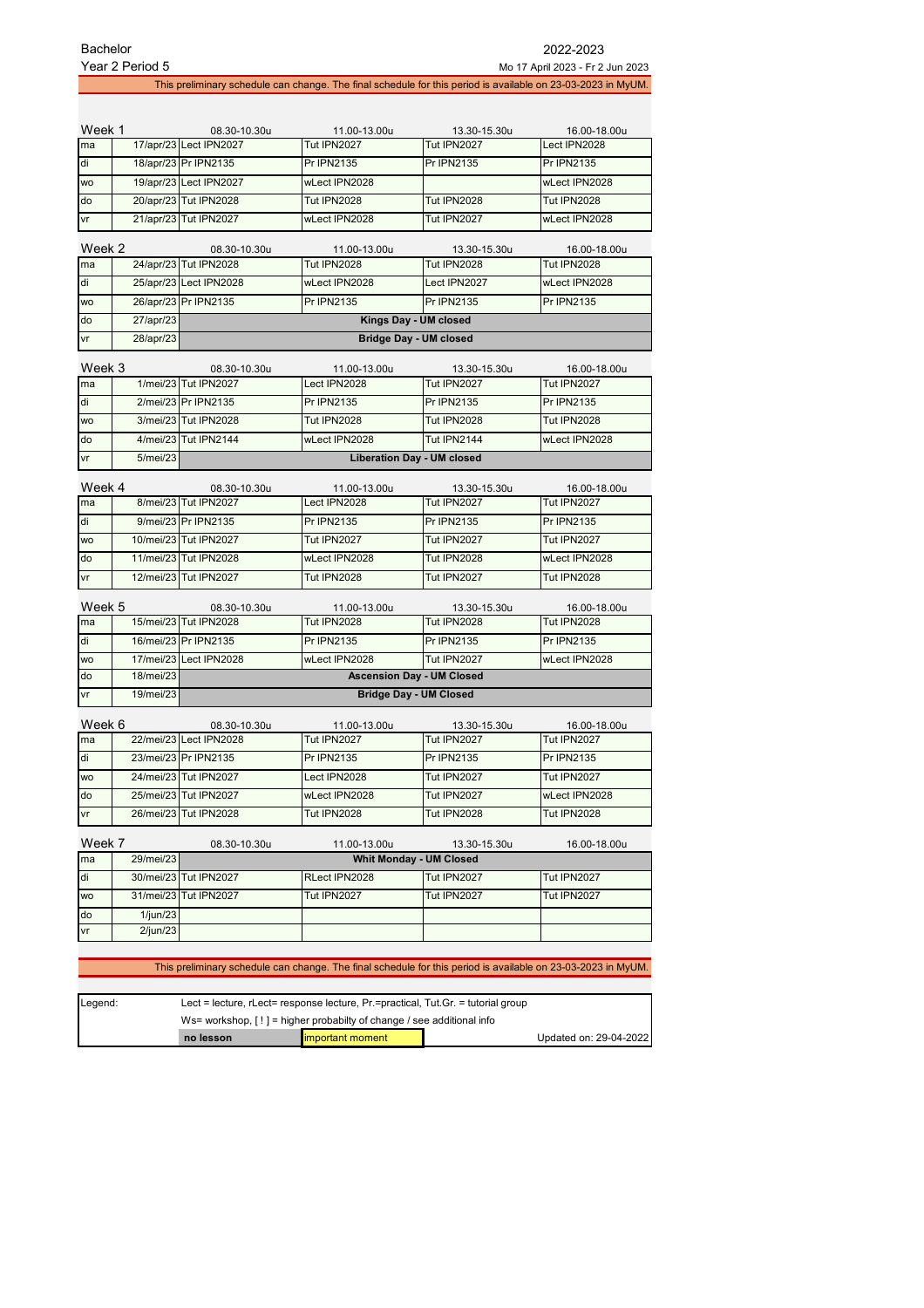| Year 2 Period 5<br>Mo 17 April 2023 - Fr 2 Jun 2023 |                                                                                                              |                                       |                              |                                                                                                              |                             |  |  |
|-----------------------------------------------------|--------------------------------------------------------------------------------------------------------------|---------------------------------------|------------------------------|--------------------------------------------------------------------------------------------------------------|-----------------------------|--|--|
|                                                     | This preliminary schedule can change. The final schedule for this period is available on 23-03-2023 in MyUM. |                                       |                              |                                                                                                              |                             |  |  |
|                                                     |                                                                                                              |                                       |                              |                                                                                                              |                             |  |  |
| Week 1                                              |                                                                                                              | 08.30-10.30u                          | 11.00-13.00u                 | 13.30-15.30u                                                                                                 | 16.00-18.00u                |  |  |
| ma                                                  |                                                                                                              | 17/apr/23 Lect IPN2027                | <b>Tut IPN2027</b>           | <b>Tut IPN2027</b>                                                                                           | Lect IPN2028                |  |  |
| di                                                  |                                                                                                              | 18/apr/23 Pr IPN2135                  | <b>Pr IPN2135</b>            | <b>Pr IPN2135</b>                                                                                            | Pr IPN2135                  |  |  |
| <b>WO</b>                                           |                                                                                                              | 19/apr/23 Lect IPN2027                | wLect IPN2028                |                                                                                                              | wLect IPN2028               |  |  |
| do                                                  |                                                                                                              | 20/apr/23 Tut IPN2028                 | <b>Tut IPN2028</b>           | <b>Tut IPN2028</b>                                                                                           | <b>Tut IPN2028</b>          |  |  |
| vr                                                  |                                                                                                              | 21/apr/23 Tut IPN2027                 | wLect IPN2028                | <b>Tut IPN2027</b>                                                                                           | wLect IPN2028               |  |  |
|                                                     |                                                                                                              |                                       |                              |                                                                                                              |                             |  |  |
| Week 2                                              |                                                                                                              | 08.30-10.30u<br>24/apr/23 Tut IPN2028 | 11.00-13.00u                 | 13.30-15.30u                                                                                                 | 16.00-18.00u                |  |  |
| ma                                                  |                                                                                                              |                                       | <b>Tut IPN2028</b>           | <b>Tut IPN2028</b>                                                                                           | <b>Tut IPN2028</b>          |  |  |
| di                                                  |                                                                                                              | 25/apr/23 Lect IPN2028                | wLect IPN2028                | Lect IPN2027                                                                                                 | wLect IPN2028               |  |  |
| <b>WO</b>                                           |                                                                                                              | 26/apr/23 Pr IPN2135                  | Pr IPN2135                   | Pr IPN2135                                                                                                   | Pr IPN2135                  |  |  |
| do                                                  | 27/apr/23                                                                                                    |                                       |                              | Kings Day - UM closed                                                                                        |                             |  |  |
| vr                                                  | 28/apr/23                                                                                                    |                                       |                              | <b>Bridge Day - UM closed</b>                                                                                |                             |  |  |
| Week 3                                              |                                                                                                              | 08.30-10.30u                          | 11.00-13.00u                 | 13.30-15.30u                                                                                                 | 16.00-18.00u                |  |  |
| ma                                                  |                                                                                                              | 1/mei/23 Tut IPN2027                  | Lect IPN2028                 | <b>Tut IPN2027</b>                                                                                           | <b>Tut IPN2027</b>          |  |  |
| di                                                  |                                                                                                              | 2/mei/23 Pr IPN2135                   | Pr IPN2135                   | <b>Pr IPN2135</b>                                                                                            | Pr IPN2135                  |  |  |
| wo                                                  |                                                                                                              | 3/mei/23 Tut IPN2028                  | <b>Tut IPN2028</b>           | <b>Tut IPN2028</b>                                                                                           | <b>Tut IPN2028</b>          |  |  |
| do                                                  |                                                                                                              | 4/mei/23 Tut IPN2144                  | wLect IPN2028                | Tut IPN2144                                                                                                  | wLect IPN2028               |  |  |
| vr                                                  | 5/mei/23                                                                                                     |                                       |                              | <b>Liberation Day - UM closed</b>                                                                            |                             |  |  |
|                                                     |                                                                                                              |                                       |                              |                                                                                                              |                             |  |  |
| Week 4<br>ma                                        |                                                                                                              | 08.30-10.30u<br>8/mei/23 Tut IPN2027  | 11.00-13.00u<br>Lect IPN2028 | 13.30-15.30u<br><b>Tut IPN2027</b>                                                                           | 16.00-18.00u<br>Tut IPN2027 |  |  |
| di                                                  |                                                                                                              | 9/mei/23 Pr IPN2135                   | Pr IPN2135                   | Pr IPN2135                                                                                                   | Pr IPN2135                  |  |  |
| wo                                                  |                                                                                                              | 10/mei/23 Tut IPN2027                 | Tut IPN2027                  | <b>Tut IPN2027</b>                                                                                           | <b>Tut IPN2027</b>          |  |  |
| do                                                  |                                                                                                              | 11/mei/23 Tut IPN2028                 | wLect IPN2028                | <b>Tut IPN2028</b>                                                                                           | wLect IPN2028               |  |  |
| ٧r                                                  |                                                                                                              | 12/mei/23 Tut IPN2027                 | <b>Tut IPN2028</b>           | <b>Tut IPN2027</b>                                                                                           | <b>Tut IPN2028</b>          |  |  |
|                                                     |                                                                                                              |                                       |                              |                                                                                                              |                             |  |  |
| Week 5                                              |                                                                                                              | 08.30-10.30u                          | 11.00-13.00u                 | 13.30-15.30u                                                                                                 | 16.00-18.00u                |  |  |
| ma                                                  |                                                                                                              | 15/mei/23 Tut IPN2028                 | <b>Tut IPN2028</b>           | <b>Tut IPN2028</b>                                                                                           | <b>Tut IPN2028</b>          |  |  |
| di                                                  |                                                                                                              | 16/mei/23 Pr IPN2135                  | Pr IPN2135                   | Pr IPN2135                                                                                                   | Pr IPN2135                  |  |  |
| wo                                                  |                                                                                                              | 17/mei/23 Lect IPN2028                | wLect IPN2028                | Tut IPN2027                                                                                                  | wLect IPN2028               |  |  |
| do                                                  | 18/mei/23                                                                                                    |                                       |                              | <b>Ascension Day - UM Closed</b>                                                                             |                             |  |  |
| vr                                                  | 19/mei/23                                                                                                    |                                       |                              | <b>Bridge Day - UM Closed</b>                                                                                |                             |  |  |
| Week 6                                              |                                                                                                              | 08.30-10.30u                          | 11.00-13.00u                 | 13.30-15.30u                                                                                                 | 16.00-18.00u                |  |  |
| ma                                                  |                                                                                                              | 22/mei/23 Lect IPN2028                | Tut IPN2027                  | Tut IPN2027                                                                                                  | Tut IPN2027                 |  |  |
| di                                                  |                                                                                                              | 23/mei/23 Pr IPN2135                  | Pr IPN2135                   | <b>Pr IPN2135</b>                                                                                            | Pr IPN2135                  |  |  |
| WO                                                  |                                                                                                              | 24/mei/23 Tut IPN2027                 | Lect IPN2028                 | Tut IPN2027                                                                                                  | Tut IPN2027                 |  |  |
| do                                                  |                                                                                                              | 25/mei/23 Tut IPN2027                 | wLect IPN2028                | Tut IPN2027                                                                                                  | wLect IPN2028               |  |  |
| vr                                                  |                                                                                                              | 26/mei/23 Tut IPN2028                 | Tut IPN2028                  | <b>Tut IPN2028</b>                                                                                           | <b>Tut IPN2028</b>          |  |  |
|                                                     |                                                                                                              |                                       |                              |                                                                                                              |                             |  |  |
| Week 7<br>ma                                        | 29/mei/23                                                                                                    | 08.30-10.30u                          | 11.00-13.00u                 | 13.30-15.30u<br><b>Whit Monday - UM Closed</b>                                                               | 16.00-18.00u                |  |  |
| di                                                  |                                                                                                              | 30/mei/23 Tut IPN2027                 | RLect IPN2028                | <b>Tut IPN2027</b>                                                                                           | Tut IPN2027                 |  |  |
|                                                     |                                                                                                              | 31/mei/23 Tut IPN2027                 | <b>Tut IPN2027</b>           | <b>Tut IPN2027</b>                                                                                           |                             |  |  |
| wo                                                  |                                                                                                              |                                       |                              |                                                                                                              | Tut IPN2027                 |  |  |
| do<br>٧r                                            | 1/jun/23<br>2/jun/23                                                                                         |                                       |                              |                                                                                                              |                             |  |  |
|                                                     |                                                                                                              |                                       |                              |                                                                                                              |                             |  |  |
|                                                     |                                                                                                              |                                       |                              | This preliminary schedule can change. The final schedule for this period is available on 23-03-2023 in MyUM. |                             |  |  |
|                                                     |                                                                                                              |                                       |                              |                                                                                                              |                             |  |  |

| Legend: |                                                                                         | Lect = lecture, $r$ Lect= response lecture, $Pr$ =practical, Tut. Gr. = tutorial group |                        |  |
|---------|-----------------------------------------------------------------------------------------|----------------------------------------------------------------------------------------|------------------------|--|
|         | Ws= workshop, $\lceil \cdot \rceil$ = higher probabilty of change / see additional info |                                                                                        |                        |  |
|         | no lesson                                                                               | <b>Important moment</b>                                                                | Updated on: 29-04-2022 |  |

 $\overline{1}$